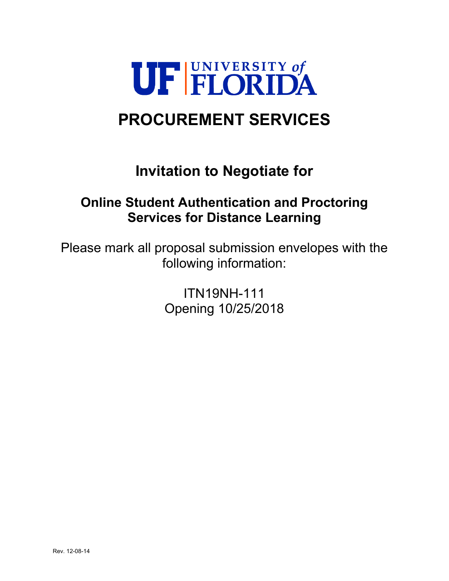

# **PROCUREMENT SERVICES**

# **Invitation to Negotiate for**

# **Online Student Authentication and Proctoring Services for Distance Learning**

Please mark all proposal submission envelopes with the following information:

> ITN19NH-111 Opening 10/25/2018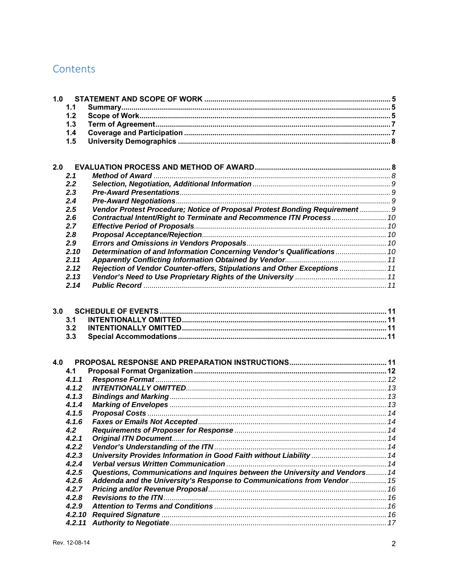# Contents

| 1.0 |        |                                                                              |  |
|-----|--------|------------------------------------------------------------------------------|--|
|     | 1.1    |                                                                              |  |
|     | 1.2    |                                                                              |  |
|     | 1.3    |                                                                              |  |
|     | 1.4    |                                                                              |  |
|     | 1.5    |                                                                              |  |
|     |        |                                                                              |  |
|     |        |                                                                              |  |
| 2.0 |        |                                                                              |  |
|     | 2.1    |                                                                              |  |
|     | 2.2    |                                                                              |  |
|     | 2.3    |                                                                              |  |
|     | 2.4    |                                                                              |  |
|     | 2.5    | Vendor Protest Procedure; Notice of Proposal Protest Bonding Requirement  9  |  |
|     | 2.6    |                                                                              |  |
|     | 2.7    |                                                                              |  |
|     | 2.8    |                                                                              |  |
|     | 2.9    |                                                                              |  |
|     | 2.10   | Determination of and Information Concerning Vendor's Qualifications  10      |  |
|     | 2.11   |                                                                              |  |
|     | 2.12   | Rejection of Vendor Counter-offers, Stipulations and Other Exceptions  11    |  |
|     | 2.13   |                                                                              |  |
|     | 2.14   |                                                                              |  |
|     |        |                                                                              |  |
| 3.0 |        |                                                                              |  |
|     | 3.1    |                                                                              |  |
|     | 3.2    |                                                                              |  |
|     | 3.3    |                                                                              |  |
|     |        |                                                                              |  |
|     |        |                                                                              |  |
| 4.0 |        |                                                                              |  |
|     | 4.1    |                                                                              |  |
|     | 4.1.1  |                                                                              |  |
|     | 4.1.2  |                                                                              |  |
|     | 4.1.3  |                                                                              |  |
|     | 4.1.4  |                                                                              |  |
|     | 4.1.5  |                                                                              |  |
|     | 4.1.6  |                                                                              |  |
|     | 4.2    |                                                                              |  |
|     | 4.2.1  |                                                                              |  |
|     | 4.2.2  |                                                                              |  |
|     | 4.2.3  | University Provides Information in Good Faith without Liability  14          |  |
|     | 4.2.4  |                                                                              |  |
|     | 4.2.5  | Questions, Communications and Inquires between the University and Vendors 14 |  |
|     | 4.2.6  | Addenda and the University's Response to Communications from Vendor  15      |  |
|     | 4.2.7  |                                                                              |  |
|     | 4.2.8  |                                                                              |  |
|     | 4.2.9  |                                                                              |  |
|     | 4.2.10 |                                                                              |  |
|     | 4.2.11 |                                                                              |  |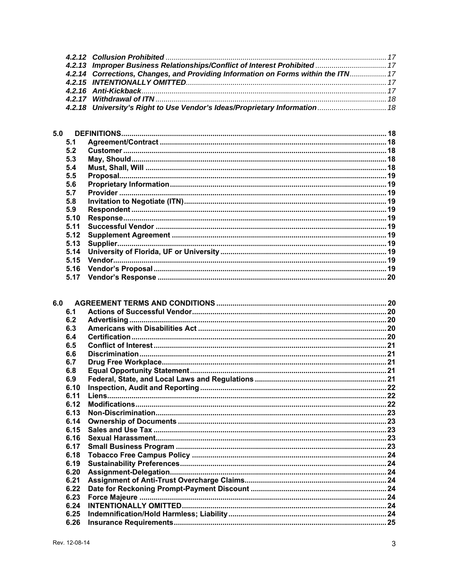| 4.2.13 Improper Business Relationships/Conflict of Interest Prohibited  17        |  |
|-----------------------------------------------------------------------------------|--|
| 4.2.14 Corrections, Changes, and Providing Information on Forms within the ITN 17 |  |
|                                                                                   |  |
|                                                                                   |  |
|                                                                                   |  |
| 4.2.18 University's Right to Use Vendor's Ideas/Proprietary Information 18        |  |

| 5.0  |  |
|------|--|
| 5.1  |  |
| 5.2  |  |
| 5.3  |  |
| 5.4  |  |
| 5.5  |  |
| 5.6  |  |
| 5.7  |  |
| 5.8  |  |
| 5.9  |  |
| 5.10 |  |
| 5.11 |  |
| 5.12 |  |
| 5.13 |  |
| 5.14 |  |
| 5.15 |  |
| 5.16 |  |
| 5.17 |  |

| 6.1  |  |
|------|--|
| 6.2  |  |
| 6.3  |  |
| 6.4  |  |
| 6.5  |  |
| 6.6  |  |
| 6.7  |  |
| 6.8  |  |
| 6.9  |  |
| 6.10 |  |
| 6.11 |  |
| 6.12 |  |
| 6.13 |  |
| 6.14 |  |
| 6.15 |  |
| 6.16 |  |
| 6.17 |  |
| 6.18 |  |
| 6.19 |  |
| 6.20 |  |
| 6.21 |  |
| 6.22 |  |
| 6.23 |  |
| 6.24 |  |
| 6.25 |  |
| 6.26 |  |
|      |  |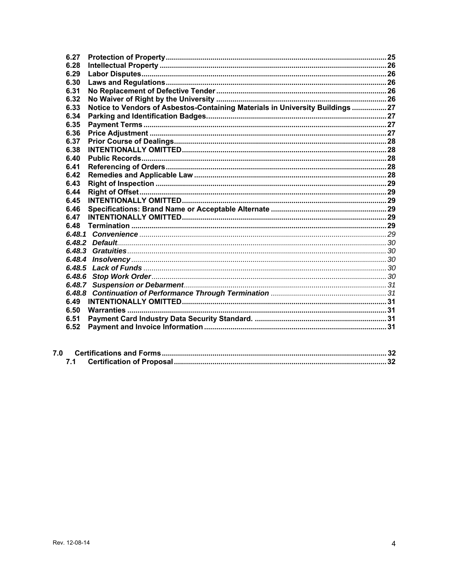| 6.27   |                                                                                |  |
|--------|--------------------------------------------------------------------------------|--|
| 6.28   |                                                                                |  |
| 6.29   |                                                                                |  |
| 6.30   |                                                                                |  |
| 6.31   |                                                                                |  |
| 6.32   |                                                                                |  |
| 6.33   | Notice to Vendors of Asbestos-Containing Materials in University Buildings  27 |  |
| 6.34   |                                                                                |  |
| 6.35   |                                                                                |  |
| 6.36   |                                                                                |  |
| 6.37   |                                                                                |  |
| 6.38   |                                                                                |  |
| 6.40   |                                                                                |  |
| 6.41   |                                                                                |  |
| 6.42   |                                                                                |  |
| 6.43   |                                                                                |  |
| 6.44   |                                                                                |  |
| 6.45   |                                                                                |  |
| 6.46   |                                                                                |  |
| 6.47   |                                                                                |  |
| 6.48   |                                                                                |  |
|        |                                                                                |  |
|        |                                                                                |  |
|        |                                                                                |  |
| 6.48.4 |                                                                                |  |
| 6.48.5 |                                                                                |  |
|        |                                                                                |  |
|        |                                                                                |  |
| 6.48.8 |                                                                                |  |
| 6.49   |                                                                                |  |
| 6.50   |                                                                                |  |
| 6.51   |                                                                                |  |
| 6.52   |                                                                                |  |
|        |                                                                                |  |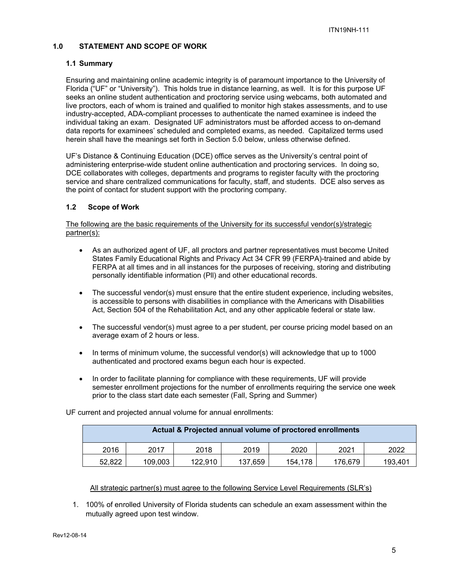# **1.0 STATEMENT AND SCOPE OF WORK**

#### **1.1 Summary**

Ensuring and maintaining online academic integrity is of paramount importance to the University of Florida ("UF" or "University"). This holds true in distance learning, as well. It is for this purpose UF seeks an online student authentication and proctoring service using webcams, both automated and live proctors, each of whom is trained and qualified to monitor high stakes assessments, and to use industry-accepted, ADA-compliant processes to authenticate the named examinee is indeed the individual taking an exam. Designated UF administrators must be afforded access to on-demand data reports for examinees' scheduled and completed exams, as needed. Capitalized terms used herein shall have the meanings set forth in Section 5.0 below, unless otherwise defined.

UF's Distance & Continuing Education (DCE) office serves as the University's central point of administering enterprise-wide student online authentication and proctoring services. In doing so, DCE collaborates with colleges, departments and programs to register faculty with the proctoring service and share centralized communications for faculty, staff, and students. DCE also serves as the point of contact for student support with the proctoring company.

# **1.2 Scope of Work**

The following are the basic requirements of the University for its successful vendor(s)/strategic partner(s):

- As an authorized agent of UF, all proctors and partner representatives must become United States Family Educational Rights and Privacy Act 34 CFR 99 (FERPA)-trained and abide by FERPA at all times and in all instances for the purposes of receiving, storing and distributing personally identifiable information (Pll) and other educational records.
- The successful vendor(s) must ensure that the entire student experience, including websites, is accessible to persons with disabilities in compliance with the Americans with Disabilities Act, Section 504 of the Rehabilitation Act, and any other applicable federal or state law.
- The successful vendor(s) must agree to a per student, per course pricing model based on an average exam of 2 hours or less.
- In terms of minimum volume, the successful vendor(s) will acknowledge that up to 1000 authenticated and proctored exams begun each hour is expected.
- In order to facilitate planning for compliance with these requirements, UF will provide semester enrollment projections for the number of enrollments requiring the service one week prior to the class start date each semester (Fall, Spring and Summer)

| Actual & Projected annual volume of proctored enrollments |         |         |         |         |         |         |
|-----------------------------------------------------------|---------|---------|---------|---------|---------|---------|
| 2016                                                      | 2017    | 2018    | 2019    | 2020    | 2021    | 2022    |
| 52.822                                                    | 109,003 | 122.910 | 137.659 | 154,178 | 176,679 | 193.401 |

UF current and projected annual volume for annual enrollments:

#### All strategic partner(s) must agree to the following Service Level Requirements (SLR's)

1. 100% of enrolled University of Florida students can schedule an exam assessment within the mutually agreed upon test window.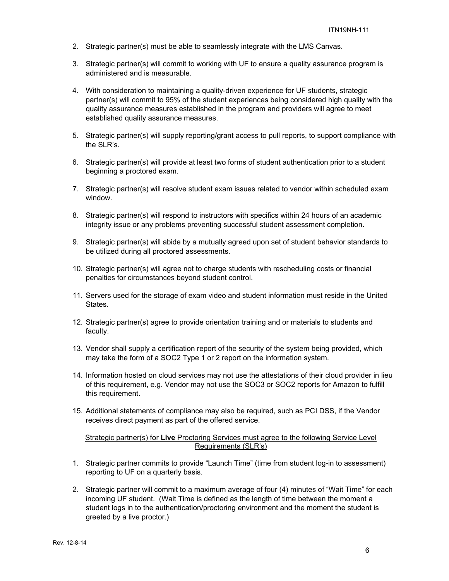- 2. Strategic partner(s) must be able to seamlessly integrate with the LMS Canvas.
- 3. Strategic partner(s) will commit to working with UF to ensure a quality assurance program is administered and is measurable.
- 4. With consideration to maintaining a quality-driven experience for UF students, strategic partner(s) will commit to 95% of the student experiences being considered high quality with the quality assurance measures established in the program and providers will agree to meet established quality assurance measures.
- 5. Strategic partner(s) will supply reporting/grant access to pull reports, to support compliance with the SLR's.
- 6. Strategic partner(s) will provide at least two forms of student authentication prior to a student beginning a proctored exam.
- 7. Strategic partner(s) will resolve student exam issues related to vendor within scheduled exam window.
- 8. Strategic partner(s) will respond to instructors with specifics within 24 hours of an academic integrity issue or any problems preventing successful student assessment completion.
- 9. Strategic partner(s) will abide by a mutually agreed upon set of student behavior standards to be utilized during all proctored assessments.
- 10. Strategic partner(s) will agree not to charge students with rescheduling costs or financial penalties for circumstances beyond student control.
- 11. Servers used for the storage of exam video and student information must reside in the United States.
- 12. Strategic partner(s) agree to provide orientation training and or materials to students and faculty.
- 13. Vendor shall supply a certification report of the security of the system being provided, which may take the form of a SOC2 Type 1 or 2 report on the information system.
- 14. Information hosted on cloud services may not use the attestations of their cloud provider in lieu of this requirement, e.g. Vendor may not use the SOC3 or SOC2 reports for Amazon to fulfill this requirement.
- 15. Additional statements of compliance may also be required, such as PCI DSS, if the Vendor receives direct payment as part of the offered service.

Strategic partner(s) for **Live** Proctoring Services must agree to the following Service Level Requirements (SLR's)

- 1. Strategic partner commits to provide "Launch Time" (time from student log-in to assessment) reporting to UF on a quarterly basis.
- 2. Strategic partner will commit to a maximum average of four (4) minutes of "Wait Time" for each incoming UF student. (Wait Time is defined as the length of time between the moment a student logs in to the authentication/proctoring environment and the moment the student is greeted by a live proctor.)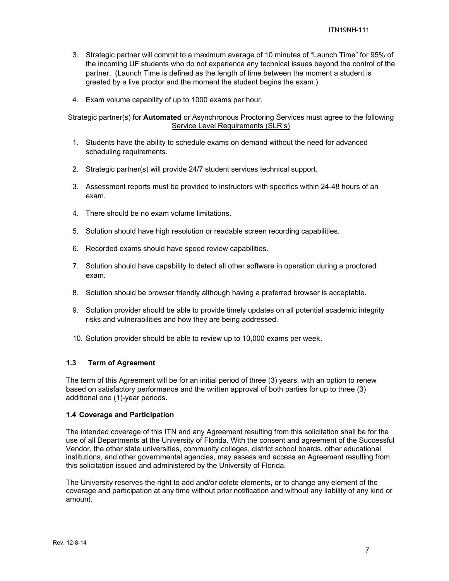- 3. Strategic partner will commit to a maximum average of 10 minutes of "Launch Time" for 95% of the incoming UF students who do not experience any technical issues beyond the control of the partner. (Launch Time is defined as the length of time between the moment a student is greeted by a live proctor and the moment the student begins the exam.)
- 4. Exam volume capability of up to 1000 exams per hour.

#### Strategic partner(s) for **Automated** or Asynchronous Proctoring Services must agree to the following Service Level Requirements (SLR's)

- 1. Students have the ability to schedule exams on demand without the need for advanced scheduling requirements.
- 2. Strategic partner(s) will provide 24/7 student services technical support.
- 3. Assessment reports must be provided to instructors with specifics within 24-48 hours of an exam.
- 4. There should be no exam volume limitations.
- 5. Solution should have high resolution or readable screen recording capabilities.
- 6. Recorded exams should have speed review capabilities.
- 7. Solution should have capability to detect all other software in operation during a proctored exam.
- 8. Solution should be browser friendly although having a preferred browser is acceptable.
- 9. Solution provider should be able to provide timely updates on all potential academic integrity risks and vulnerabilities and how they are being addressed.
- 10. Solution provider should be able to review up to 10,000 exams per week.

#### **1.3 Term of Agreement**

The term of this Agreement will be for an initial period of three (3) years, with an option to renew based on satisfactory performance and the written approval of both parties for up to three (3) additional one (1)-year periods.

#### **1.4 Coverage and Participation**

The intended coverage of this ITN and any Agreement resulting from this solicitation shall be for the use of all Departments at the University of Florida. With the consent and agreement of the Successful Vendor, the other state universities, community colleges, district school boards, other educational institutions, and other governmental agencies, may assess and access an Agreement resulting from this solicitation issued and administered by the University of Florida.

The University reserves the right to add and/or delete elements, or to change any element of the coverage and participation at any time without prior notification and without any liability of any kind or amount.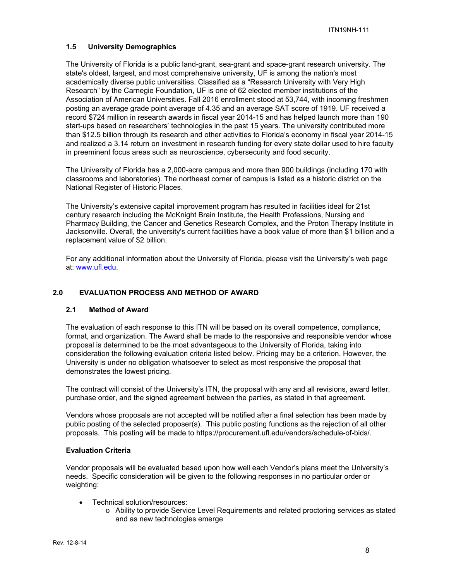# **1.5 University Demographics**

The University of Florida is a public land-grant, sea-grant and space-grant research university. The state's oldest, largest, and most comprehensive university, UF is among the nation's most academically diverse public universities. Classified as a "Research University with Very High Research" by the Carnegie Foundation, UF is one of 62 elected member institutions of the Association of American Universities. Fall 2016 enrollment stood at 53,744, with incoming freshmen posting an average grade point average of 4.35 and an average SAT score of 1919. UF received a record \$724 million in research awards in fiscal year 2014-15 and has helped launch more than 190 start-ups based on researchers' technologies in the past 15 years. The university contributed more than \$12.5 billion through its research and other activities to Florida's economy in fiscal year 2014-15 and realized a 3.14 return on investment in research funding for every state dollar used to hire faculty in preeminent focus areas such as neuroscience, cybersecurity and food security.

The University of Florida has a 2,000-acre campus and more than 900 buildings (including 170 with classrooms and laboratories). The northeast corner of campus is listed as a historic district on the National Register of Historic Places.

The University's extensive capital improvement program has resulted in facilities ideal for 21st century research including the McKnight Brain Institute, the Health Professions, Nursing and Pharmacy Building, the Cancer and Genetics Research Complex, and the Proton Therapy Institute in Jacksonville. Overall, the university's current facilities have a book value of more than \$1 billion and a replacement value of \$2 billion.

For any additional information about the University of Florida, please visit the University's web page at: www.ufl.edu.

# **2.0 EVALUATION PROCESS AND METHOD OF AWARD**

# **2.1 Method of Award**

The evaluation of each response to this ITN will be based on its overall competence, compliance, format, and organization. The Award shall be made to the responsive and responsible vendor whose proposal is determined to be the most advantageous to the University of Florida, taking into consideration the following evaluation criteria listed below. Pricing may be a criterion. However, the University is under no obligation whatsoever to select as most responsive the proposal that demonstrates the lowest pricing.

The contract will consist of the University's ITN, the proposal with any and all revisions, award letter, purchase order, and the signed agreement between the parties, as stated in that agreement.

Vendors whose proposals are not accepted will be notified after a final selection has been made by public posting of the selected proposer(s). This public posting functions as the rejection of all other proposals. This posting will be made to https://procurement.ufl.edu/vendors/schedule-of-bids/.

#### **Evaluation Criteria**

Vendor proposals will be evaluated based upon how well each Vendor's plans meet the University's needs. Specific consideration will be given to the following responses in no particular order or weighting:

- Technical solution/resources:
	- o Ability to provide Service Level Requirements and related proctoring services as stated and as new technologies emerge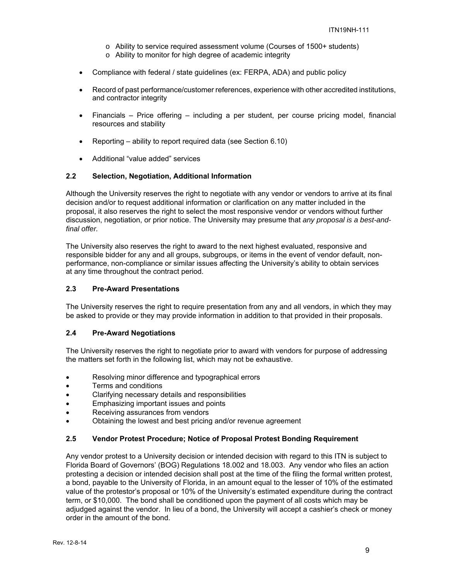- o Ability to service required assessment volume (Courses of 1500+ students)
- o Ability to monitor for high degree of academic integrity
- Compliance with federal / state guidelines (ex: FERPA, ADA) and public policy
- Record of past performance/customer references, experience with other accredited institutions, and contractor integrity
- Financials Price offering including a per student, per course pricing model, financial resources and stability
- **•** Reporting ability to report required data (see Section  $6.10$ )
- Additional "value added" services

#### **2.2 Selection, Negotiation, Additional Information**

Although the University reserves the right to negotiate with any vendor or vendors to arrive at its final decision and/or to request additional information or clarification on any matter included in the proposal, it also reserves the right to select the most responsive vendor or vendors without further discussion, negotiation, or prior notice. The University may presume that *any proposal is a best-andfinal offer.* 

The University also reserves the right to award to the next highest evaluated, responsive and responsible bidder for any and all groups, subgroups, or items in the event of vendor default, nonperformance, non-compliance or similar issues affecting the University's ability to obtain services at any time throughout the contract period.

#### **2.3 Pre-Award Presentations**

The University reserves the right to require presentation from any and all vendors, in which they may be asked to provide or they may provide information in addition to that provided in their proposals.

#### **2.4 Pre-Award Negotiations**

The University reserves the right to negotiate prior to award with vendors for purpose of addressing the matters set forth in the following list, which may not be exhaustive.

- Resolving minor difference and typographical errors
- Terms and conditions
- Clarifying necessary details and responsibilities
- **•** Emphasizing important issues and points
- Receiving assurances from vendors
- Obtaining the lowest and best pricing and/or revenue agreement

#### **2.5 Vendor Protest Procedure; Notice of Proposal Protest Bonding Requirement**

Any vendor protest to a University decision or intended decision with regard to this ITN is subject to Florida Board of Governors' (BOG) Regulations 18.002 and 18.003. Any vendor who files an action protesting a decision or intended decision shall post at the time of the filing the formal written protest, a bond, payable to the University of Florida, in an amount equal to the lesser of 10% of the estimated value of the protestor's proposal or 10% of the University's estimated expenditure during the contract term, or \$10,000. The bond shall be conditioned upon the payment of all costs which may be adjudged against the vendor. In lieu of a bond, the University will accept a cashier's check or money order in the amount of the bond.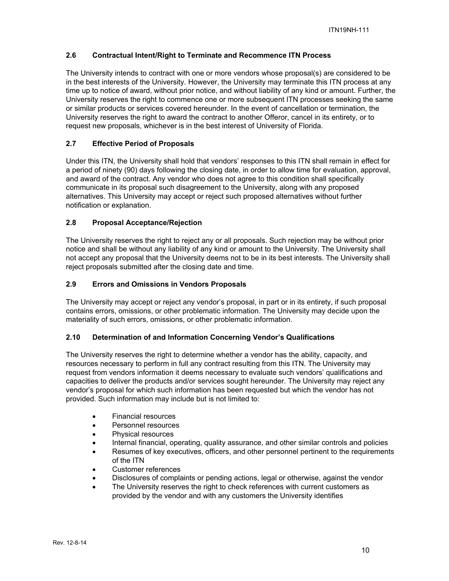# **2.6 Contractual Intent/Right to Terminate and Recommence ITN Process**

The University intends to contract with one or more vendors whose proposal(s) are considered to be in the best interests of the University. However, the University may terminate this ITN process at any time up to notice of award, without prior notice, and without liability of any kind or amount. Further, the University reserves the right to commence one or more subsequent ITN processes seeking the same or similar products or services covered hereunder. In the event of cancellation or termination, the University reserves the right to award the contract to another Offeror, cancel in its entirety, or to request new proposals, whichever is in the best interest of University of Florida.

# **2.7 Effective Period of Proposals**

Under this ITN, the University shall hold that vendors' responses to this ITN shall remain in effect for a period of ninety (90) days following the closing date, in order to allow time for evaluation, approval, and award of the contract. Any vendor who does not agree to this condition shall specifically communicate in its proposal such disagreement to the University, along with any proposed alternatives. This University may accept or reject such proposed alternatives without further notification or explanation.

# **2.8 Proposal Acceptance/Rejection**

The University reserves the right to reject any or all proposals. Such rejection may be without prior notice and shall be without any liability of any kind or amount to the University. The University shall not accept any proposal that the University deems not to be in its best interests. The University shall reject proposals submitted after the closing date and time.

# **2.9 Errors and Omissions in Vendors Proposals**

The University may accept or reject any vendor's proposal, in part or in its entirety, if such proposal contains errors, omissions, or other problematic information. The University may decide upon the materiality of such errors, omissions, or other problematic information.

# **2.10 Determination of and Information Concerning Vendor's Qualifications**

The University reserves the right to determine whether a vendor has the ability, capacity, and resources necessary to perform in full any contract resulting from this ITN. The University may request from vendors information it deems necessary to evaluate such vendors' qualifications and capacities to deliver the products and/or services sought hereunder. The University may reject any vendor's proposal for which such information has been requested but which the vendor has not provided. Such information may include but is not limited to:

- Financial resources
- Personnel resources
- Physical resources
- Internal financial, operating, quality assurance, and other similar controls and policies
- Resumes of key executives, officers, and other personnel pertinent to the requirements of the ITN
- Customer references
- Disclosures of complaints or pending actions, legal or otherwise, against the vendor
- The University reserves the right to check references with current customers as provided by the vendor and with any customers the University identifies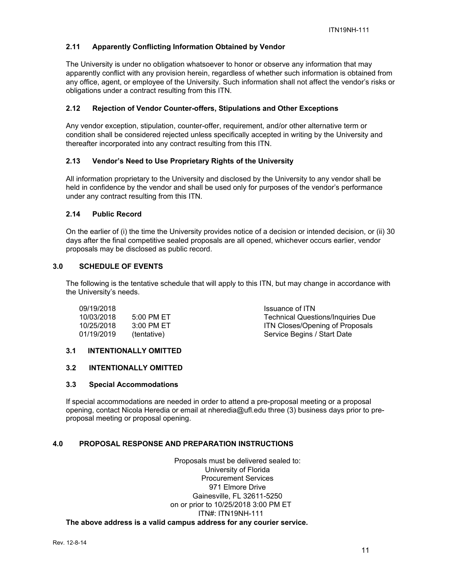# **2.11 Apparently Conflicting Information Obtained by Vendor**

The University is under no obligation whatsoever to honor or observe any information that may apparently conflict with any provision herein, regardless of whether such information is obtained from any office, agent, or employee of the University. Such information shall not affect the vendor's risks or obligations under a contract resulting from this ITN.

# **2.12 Rejection of Vendor Counter-offers, Stipulations and Other Exceptions**

Any vendor exception, stipulation, counter-offer, requirement, and/or other alternative term or condition shall be considered rejected unless specifically accepted in writing by the University and thereafter incorporated into any contract resulting from this ITN.

# **2.13 Vendor's Need to Use Proprietary Rights of the University**

All information proprietary to the University and disclosed by the University to any vendor shall be held in confidence by the vendor and shall be used only for purposes of the vendor's performance under any contract resulting from this ITN.

#### **2.14 Public Record**

On the earlier of (i) the time the University provides notice of a decision or intended decision, or (ii) 30 days after the final competitive sealed proposals are all opened, whichever occurs earlier, vendor proposals may be disclosed as public record.

# **3.0 SCHEDULE OF EVENTS**

The following is the tentative schedule that will apply to this ITN, but may change in accordance with the University's needs.

| 09/19/2018 |             | Issuance of ITN                        |
|------------|-------------|----------------------------------------|
| 10/03/2018 | 5:00 PM ET  | Technical Questions/Inquiries Due      |
| 10/25/2018 | 3:00 PM ET  | <b>ITN Closes/Opening of Proposals</b> |
| 01/19/2019 | (tentative) | Service Begins / Start Date            |

# **3.1 INTENTIONALLY OMITTED**

# **3.2 INTENTIONALLY OMITTED**

#### **3.3 Special Accommodations**

If special accommodations are needed in order to attend a pre-proposal meeting or a proposal opening, contact Nicola Heredia or email at nheredia@ufl.edu three (3) business days prior to preproposal meeting or proposal opening.

#### **4.0 PROPOSAL RESPONSE AND PREPARATION INSTRUCTIONS**

Proposals must be delivered sealed to: University of Florida Procurement Services 971 Elmore Drive Gainesville, FL 32611-5250 on or prior to 10/25/2018 3:00 PM ET ITN#: ITN19NH-111 **The above address is a valid campus address for any courier service.**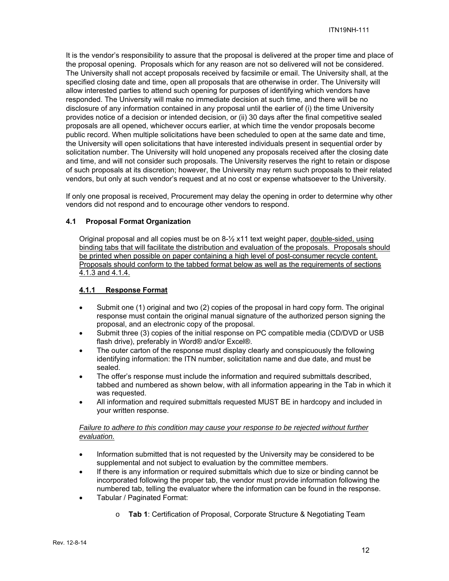It is the vendor's responsibility to assure that the proposal is delivered at the proper time and place of the proposal opening. Proposals which for any reason are not so delivered will not be considered. The University shall not accept proposals received by facsimile or email. The University shall, at the specified closing date and time, open all proposals that are otherwise in order. The University will allow interested parties to attend such opening for purposes of identifying which vendors have responded. The University will make no immediate decision at such time, and there will be no disclosure of any information contained in any proposal until the earlier of (i) the time University provides notice of a decision or intended decision, or (ii) 30 days after the final competitive sealed proposals are all opened, whichever occurs earlier, at which time the vendor proposals become public record. When multiple solicitations have been scheduled to open at the same date and time, the University will open solicitations that have interested individuals present in sequential order by solicitation number. The University will hold unopened any proposals received after the closing date and time, and will not consider such proposals. The University reserves the right to retain or dispose of such proposals at its discretion; however, the University may return such proposals to their related vendors, but only at such vendor's request and at no cost or expense whatsoever to the University.

If only one proposal is received, Procurement may delay the opening in order to determine why other vendors did not respond and to encourage other vendors to respond.

# **4.1 Proposal Format Organization**

Original proposal and all copies must be on 8-½ x11 text weight paper, double-sided, using binding tabs that will facilitate the distribution and evaluation of the proposals. Proposals should be printed when possible on paper containing a high level of post-consumer recycle content. Proposals should conform to the tabbed format below as well as the requirements of sections 4.1.3 and 4.1.4.

# **4.1.1 Response Format**

- $\bullet$  Submit one (1) original and two (2) copies of the proposal in hard copy form. The original response must contain the original manual signature of the authorized person signing the proposal, and an electronic copy of the proposal.
- Submit three (3) copies of the initial response on PC compatible media (CD/DVD or USB flash drive), preferably in Word® and/or Excel®.
- The outer carton of the response must display clearly and conspicuously the following identifying information: the ITN number, solicitation name and due date, and must be sealed.
- The offer's response must include the information and required submittals described, tabbed and numbered as shown below, with all information appearing in the Tab in which it was requested.
- All information and required submittals requested MUST BE in hardcopy and included in your written response.

# *Failure to adhere to this condition may cause your response to be rejected without further evaluation.*

- Information submitted that is not requested by the University may be considered to be supplemental and not subject to evaluation by the committee members.
- If there is any information or required submittals which due to size or binding cannot be incorporated following the proper tab, the vendor must provide information following the numbered tab, telling the evaluator where the information can be found in the response.
- Tabular / Paginated Format:
	- o **Tab 1**: Certification of Proposal, Corporate Structure & Negotiating Team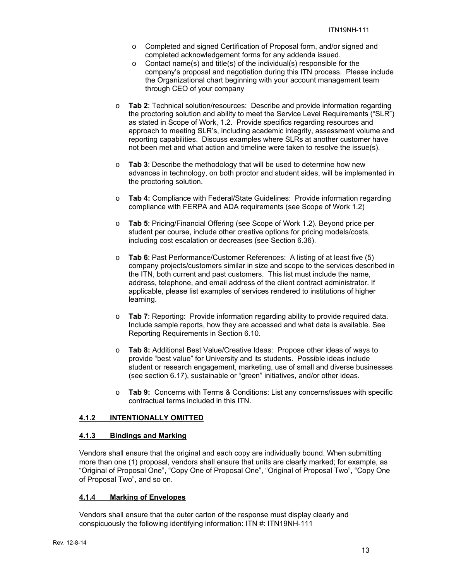- o Completed and signed Certification of Proposal form, and/or signed and completed acknowledgement forms for any addenda issued.
- o Contact name(s) and title(s) of the individual(s) responsible for the company's proposal and negotiation during this ITN process. Please include the Organizational chart beginning with your account management team through CEO of your company
- o **Tab 2**: Technical solution/resources: Describe and provide information regarding the proctoring solution and ability to meet the Service Level Requirements ("SLR") as stated in Scope of Work, 1.2. Provide specifics regarding resources and approach to meeting SLR's, including academic integrity, assessment volume and reporting capabilities. Discuss examples where SLRs at another customer have not been met and what action and timeline were taken to resolve the issue(s).
- o **Tab 3**: Describe the methodology that will be used to determine how new advances in technology, on both proctor and student sides, will be implemented in the proctoring solution.
- o **Tab 4:** Compliance with Federal/State Guidelines: Provide information regarding compliance with FERPA and ADA requirements (see Scope of Work 1.2)
- o **Tab 5**: Pricing/Financial Offering (see Scope of Work 1.2). Beyond price per student per course, include other creative options for pricing models/costs, including cost escalation or decreases (see Section 6.36).
- o **Tab 6**: Past Performance/Customer References: A listing of at least five (5) company projects/customers similar in size and scope to the services described in the ITN, both current and past customers. This list must include the name, address, telephone, and email address of the client contract administrator. If applicable, please list examples of services rendered to institutions of higher learning.
- o **Tab 7**: Reporting: Provide information regarding ability to provide required data. Include sample reports, how they are accessed and what data is available. See Reporting Requirements in Section 6.10.
- o **Tab 8:** Additional Best Value/Creative Ideas:Propose other ideas of ways to provide "best value" for University and its students. Possible ideas include student or research engagement, marketing, use of small and diverse businesses (see section 6.17), sustainable or "green" initiatives, and/or other ideas.
- o **Tab 9:** Concerns with Terms & Conditions: List any concerns/issues with specific contractual terms included in this ITN.

# **4.1.2 INTENTIONALLY OMITTED**

# **4.1.3 Bindings and Marking**

Vendors shall ensure that the original and each copy are individually bound. When submitting more than one (1) proposal, vendors shall ensure that units are clearly marked; for example, as "Original of Proposal One", "Copy One of Proposal One", "Original of Proposal Two", "Copy One of Proposal Two", and so on.

# **4.1.4 Marking of Envelopes**

Vendors shall ensure that the outer carton of the response must display clearly and conspicuously the following identifying information: ITN #: ITN19NH-111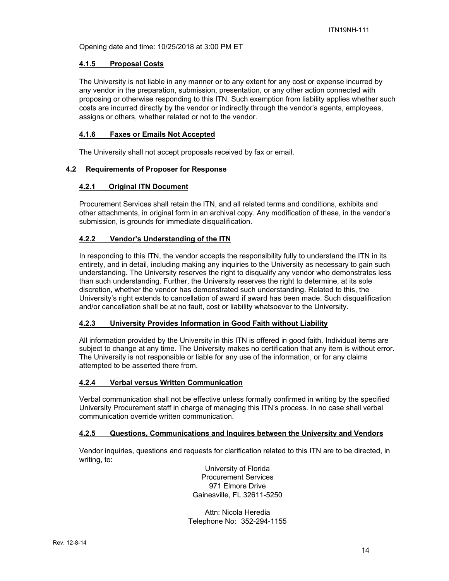Opening date and time: 10/25/2018 at 3:00 PM ET

# **4.1.5 Proposal Costs**

The University is not liable in any manner or to any extent for any cost or expense incurred by any vendor in the preparation, submission, presentation, or any other action connected with proposing or otherwise responding to this ITN. Such exemption from liability applies whether such costs are incurred directly by the vendor or indirectly through the vendor's agents, employees, assigns or others, whether related or not to the vendor.

# **4.1.6 Faxes or Emails Not Accepted**

The University shall not accept proposals received by fax or email.

# **4.2 Requirements of Proposer for Response**

# **4.2.1 Original ITN Document**

Procurement Services shall retain the ITN, and all related terms and conditions, exhibits and other attachments, in original form in an archival copy. Any modification of these, in the vendor's submission, is grounds for immediate disqualification.

# **4.2.2 Vendor's Understanding of the ITN**

In responding to this ITN, the vendor accepts the responsibility fully to understand the ITN in its entirety, and in detail, including making any inquiries to the University as necessary to gain such understanding. The University reserves the right to disqualify any vendor who demonstrates less than such understanding. Further, the University reserves the right to determine, at its sole discretion, whether the vendor has demonstrated such understanding. Related to this, the University's right extends to cancellation of award if award has been made. Such disqualification and/or cancellation shall be at no fault, cost or liability whatsoever to the University.

#### **4.2.3 University Provides Information in Good Faith without Liability**

All information provided by the University in this ITN is offered in good faith. Individual items are subject to change at any time. The University makes no certification that any item is without error. The University is not responsible or liable for any use of the information, or for any claims attempted to be asserted there from.

#### **4.2.4 Verbal versus Written Communication**

Verbal communication shall not be effective unless formally confirmed in writing by the specified University Procurement staff in charge of managing this ITN's process. In no case shall verbal communication override written communication.

#### **4.2.5 Questions, Communications and Inquires between the University and Vendors**

Vendor inquiries, questions and requests for clarification related to this ITN are to be directed, in writing, to:

> University of Florida Procurement Services 971 Elmore Drive Gainesville, FL 32611-5250

Attn: Nicola Heredia Telephone No: 352-294-1155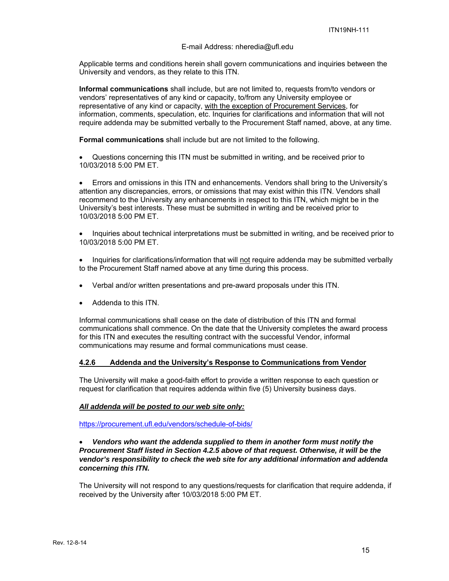#### E-mail Address: nheredia@ufl.edu

Applicable terms and conditions herein shall govern communications and inquiries between the University and vendors, as they relate to this ITN.

**Informal communications** shall include, but are not limited to, requests from/to vendors or vendors' representatives of any kind or capacity, to/from any University employee or representative of any kind or capacity, with the exception of Procurement Services, for information, comments, speculation, etc. Inquiries for clarifications and information that will not require addenda may be submitted verbally to the Procurement Staff named, above, at any time.

**Formal communications** shall include but are not limited to the following.

 Questions concerning this ITN must be submitted in writing, and be received prior to 10/03/2018 5:00 PM ET.

 Errors and omissions in this ITN and enhancements. Vendors shall bring to the University's attention any discrepancies, errors, or omissions that may exist within this ITN. Vendors shall recommend to the University any enhancements in respect to this ITN, which might be in the University's best interests. These must be submitted in writing and be received prior to 10/03/2018 5:00 PM ET.

• Inquiries about technical interpretations must be submitted in writing, and be received prior to 10/03/2018 5:00 PM ET.

 Inquiries for clarifications/information that will not require addenda may be submitted verbally to the Procurement Staff named above at any time during this process.

- Verbal and/or written presentations and pre-award proposals under this ITN.
- Addenda to this ITN.

Informal communications shall cease on the date of distribution of this ITN and formal communications shall commence. On the date that the University completes the award process for this ITN and executes the resulting contract with the successful Vendor, informal communications may resume and formal communications must cease.

#### **4.2.6 Addenda and the University's Response to Communications from Vendor**

The University will make a good-faith effort to provide a written response to each question or request for clarification that requires addenda within five (5) University business days.

#### *All addenda will be posted to our web site only:*

https://procurement.ufl.edu/vendors/schedule-of-bids/

#### *Vendors who want the addenda supplied to them in another form must notify the Procurement Staff listed in Section 4.2.5 above of that request. Otherwise, it will be the vendor's responsibility to check the web site for any additional information and addenda concerning this ITN.*

The University will not respond to any questions/requests for clarification that require addenda, if received by the University after 10/03/2018 5:00 PM ET.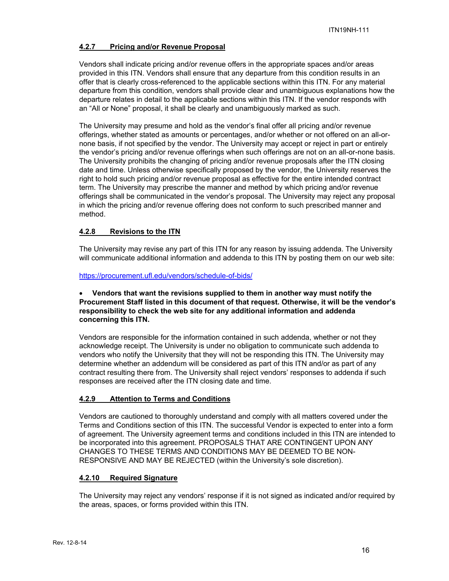# **4.2.7 Pricing and/or Revenue Proposal**

Vendors shall indicate pricing and/or revenue offers in the appropriate spaces and/or areas provided in this ITN. Vendors shall ensure that any departure from this condition results in an offer that is clearly cross-referenced to the applicable sections within this ITN. For any material departure from this condition, vendors shall provide clear and unambiguous explanations how the departure relates in detail to the applicable sections within this ITN. If the vendor responds with an "All or None" proposal, it shall be clearly and unambiguously marked as such.

The University may presume and hold as the vendor's final offer all pricing and/or revenue offerings, whether stated as amounts or percentages, and/or whether or not offered on an all-ornone basis, if not specified by the vendor. The University may accept or reject in part or entirely the vendor's pricing and/or revenue offerings when such offerings are not on an all-or-none basis. The University prohibits the changing of pricing and/or revenue proposals after the ITN closing date and time. Unless otherwise specifically proposed by the vendor, the University reserves the right to hold such pricing and/or revenue proposal as effective for the entire intended contract term. The University may prescribe the manner and method by which pricing and/or revenue offerings shall be communicated in the vendor's proposal. The University may reject any proposal in which the pricing and/or revenue offering does not conform to such prescribed manner and method.

# **4.2.8 Revisions to the ITN**

The University may revise any part of this ITN for any reason by issuing addenda. The University will communicate additional information and addenda to this ITN by posting them on our web site:

https://procurement.ufl.edu/vendors/schedule-of-bids/

# **Vendors that want the revisions supplied to them in another way must notify the Procurement Staff listed in this document of that request. Otherwise, it will be the vendor's responsibility to check the web site for any additional information and addenda concerning this ITN.**

Vendors are responsible for the information contained in such addenda, whether or not they acknowledge receipt. The University is under no obligation to communicate such addenda to vendors who notify the University that they will not be responding this ITN. The University may determine whether an addendum will be considered as part of this ITN and/or as part of any contract resulting there from. The University shall reject vendors' responses to addenda if such responses are received after the ITN closing date and time.

# **4.2.9 Attention to Terms and Conditions**

Vendors are cautioned to thoroughly understand and comply with all matters covered under the Terms and Conditions section of this ITN. The successful Vendor is expected to enter into a form of agreement. The University agreement terms and conditions included in this ITN are intended to be incorporated into this agreement. PROPOSALS THAT ARE CONTINGENT UPON ANY CHANGES TO THESE TERMS AND CONDITIONS MAY BE DEEMED TO BE NON-RESPONSIVE AND MAY BE REJECTED (within the University's sole discretion).

# **4.2.10 Required Signature**

The University may reject any vendors' response if it is not signed as indicated and/or required by the areas, spaces, or forms provided within this ITN.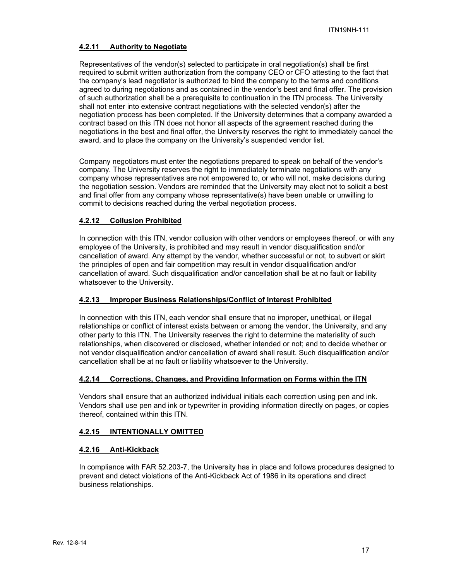# **4.2.11 Authority to Negotiate**

Representatives of the vendor(s) selected to participate in oral negotiation(s) shall be first required to submit written authorization from the company CEO or CFO attesting to the fact that the company's lead negotiator is authorized to bind the company to the terms and conditions agreed to during negotiations and as contained in the vendor's best and final offer. The provision of such authorization shall be a prerequisite to continuation in the ITN process. The University shall not enter into extensive contract negotiations with the selected vendor(s) after the negotiation process has been completed. If the University determines that a company awarded a contract based on this ITN does not honor all aspects of the agreement reached during the negotiations in the best and final offer, the University reserves the right to immediately cancel the award, and to place the company on the University's suspended vendor list.

Company negotiators must enter the negotiations prepared to speak on behalf of the vendor's company. The University reserves the right to immediately terminate negotiations with any company whose representatives are not empowered to, or who will not, make decisions during the negotiation session. Vendors are reminded that the University may elect not to solicit a best and final offer from any company whose representative(s) have been unable or unwilling to commit to decisions reached during the verbal negotiation process.

# **4.2.12 Collusion Prohibited**

In connection with this ITN, vendor collusion with other vendors or employees thereof, or with any employee of the University, is prohibited and may result in vendor disqualification and/or cancellation of award. Any attempt by the vendor, whether successful or not, to subvert or skirt the principles of open and fair competition may result in vendor disqualification and/or cancellation of award. Such disqualification and/or cancellation shall be at no fault or liability whatsoever to the University.

# **4.2.13 Improper Business Relationships/Conflict of Interest Prohibited**

In connection with this ITN, each vendor shall ensure that no improper, unethical, or illegal relationships or conflict of interest exists between or among the vendor, the University, and any other party to this ITN. The University reserves the right to determine the materiality of such relationships, when discovered or disclosed, whether intended or not; and to decide whether or not vendor disqualification and/or cancellation of award shall result. Such disqualification and/or cancellation shall be at no fault or liability whatsoever to the University.

#### **4.2.14 Corrections, Changes, and Providing Information on Forms within the ITN**

Vendors shall ensure that an authorized individual initials each correction using pen and ink. Vendors shall use pen and ink or typewriter in providing information directly on pages, or copies thereof, contained within this ITN.

# **4.2.15 INTENTIONALLY OMITTED**

#### **4.2.16 Anti-Kickback**

In compliance with FAR 52.203-7, the University has in place and follows procedures designed to prevent and detect violations of the Anti-Kickback Act of 1986 in its operations and direct business relationships.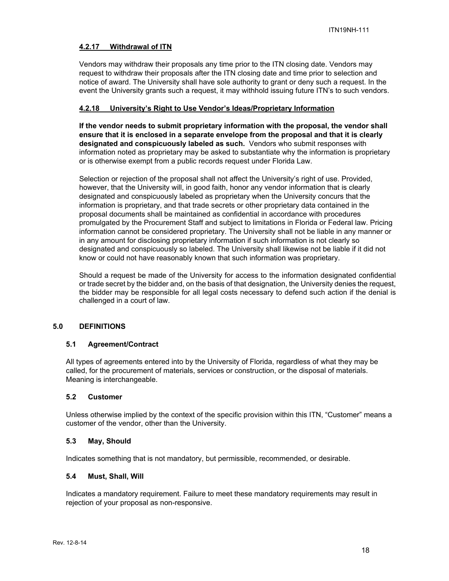# **4.2.17 Withdrawal of ITN**

Vendors may withdraw their proposals any time prior to the ITN closing date. Vendors may request to withdraw their proposals after the ITN closing date and time prior to selection and notice of award. The University shall have sole authority to grant or deny such a request. In the event the University grants such a request, it may withhold issuing future ITN's to such vendors.

# **4.2.18 University's Right to Use Vendor's Ideas/Proprietary Information**

**If the vendor needs to submit proprietary information with the proposal, the vendor shall ensure that it is enclosed in a separate envelope from the proposal and that it is clearly designated and conspicuously labeled as such.** Vendors who submit responses with information noted as proprietary may be asked to substantiate why the information is proprietary or is otherwise exempt from a public records request under Florida Law.

Selection or rejection of the proposal shall not affect the University's right of use. Provided, however, that the University will, in good faith, honor any vendor information that is clearly designated and conspicuously labeled as proprietary when the University concurs that the information is proprietary, and that trade secrets or other proprietary data contained in the proposal documents shall be maintained as confidential in accordance with procedures promulgated by the Procurement Staff and subject to limitations in Florida or Federal law. Pricing information cannot be considered proprietary. The University shall not be liable in any manner or in any amount for disclosing proprietary information if such information is not clearly so designated and conspicuously so labeled. The University shall likewise not be liable if it did not know or could not have reasonably known that such information was proprietary.

Should a request be made of the University for access to the information designated confidential or trade secret by the bidder and, on the basis of that designation, the University denies the request, the bidder may be responsible for all legal costs necessary to defend such action if the denial is challenged in a court of law.

# **5.0 DEFINITIONS**

#### **5.1 Agreement/Contract**

All types of agreements entered into by the University of Florida, regardless of what they may be called, for the procurement of materials, services or construction, or the disposal of materials. Meaning is interchangeable.

#### **5.2 Customer**

Unless otherwise implied by the context of the specific provision within this ITN, "Customer" means a customer of the vendor, other than the University.

#### **5.3 May, Should**

Indicates something that is not mandatory, but permissible, recommended, or desirable.

#### **5.4 Must, Shall, Will**

Indicates a mandatory requirement. Failure to meet these mandatory requirements may result in rejection of your proposal as non-responsive.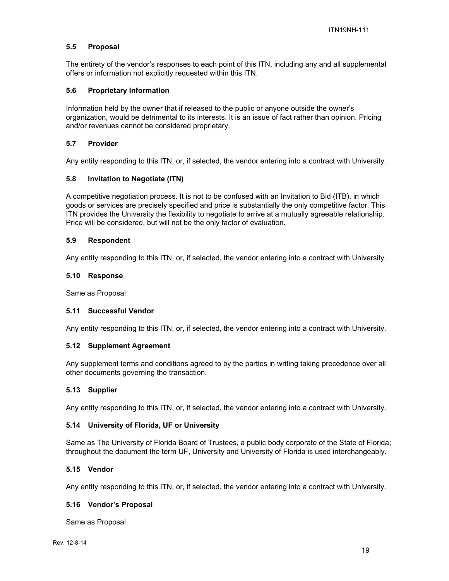# **5.5 Proposal**

The entirety of the vendor's responses to each point of this ITN, including any and all supplemental offers or information not explicitly requested within this ITN.

#### **5.6 Proprietary Information**

Information held by the owner that if released to the public or anyone outside the owner's organization, would be detrimental to its interests. It is an issue of fact rather than opinion. Pricing and/or revenues cannot be considered proprietary.

#### **5.7 Provider**

Any entity responding to this ITN, or, if selected, the vendor entering into a contract with University.

# **5.8 Invitation to Negotiate (ITN)**

A competitive negotiation process. It is not to be confused with an Invitation to Bid (ITB), in which goods or services are precisely specified and price is substantially the only competitive factor. This ITN provides the University the flexibility to negotiate to arrive at a mutually agreeable relationship. Price will be considered, but will not be the only factor of evaluation.

#### **5.9 Respondent**

Any entity responding to this ITN, or, if selected, the vendor entering into a contract with University.

#### **5.10 Response**

Same as Proposal

# **5.11 Successful Vendor**

Any entity responding to this ITN, or, if selected, the vendor entering into a contract with University.

#### **5.12 Supplement Agreement**

Any supplement terms and conditions agreed to by the parties in writing taking precedence over all other documents governing the transaction.

#### **5.13 Supplier**

Any entity responding to this ITN, or, if selected, the vendor entering into a contract with University.

#### **5.14 University of Florida, UF or University**

Same as The University of Florida Board of Trustees, a public body corporate of the State of Florida; throughout the document the term UF, University and University of Florida is used interchangeably.

#### **5.15 Vendor**

Any entity responding to this ITN, or, if selected, the vendor entering into a contract with University.

#### **5.16 Vendor's Proposal**

Same as Proposal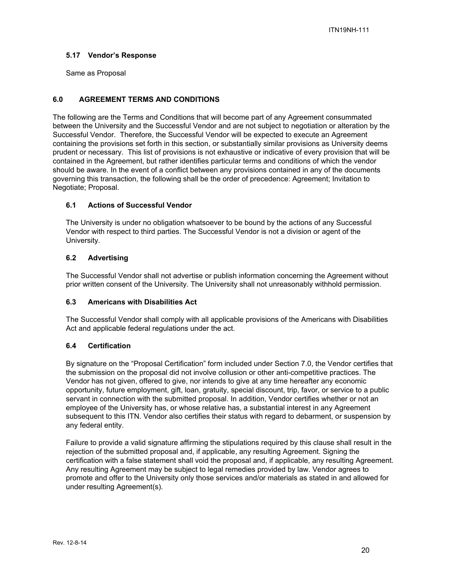# **5.17 Vendor's Response**

Same as Proposal

# **6.0 AGREEMENT TERMS AND CONDITIONS**

The following are the Terms and Conditions that will become part of any Agreement consummated between the University and the Successful Vendor and are not subject to negotiation or alteration by the Successful Vendor. Therefore, the Successful Vendor will be expected to execute an Agreement containing the provisions set forth in this section, or substantially similar provisions as University deems prudent or necessary. This list of provisions is not exhaustive or indicative of every provision that will be contained in the Agreement, but rather identifies particular terms and conditions of which the vendor should be aware. In the event of a conflict between any provisions contained in any of the documents governing this transaction, the following shall be the order of precedence: Agreement; Invitation to Negotiate; Proposal.

# **6.1 Actions of Successful Vendor**

The University is under no obligation whatsoever to be bound by the actions of any Successful Vendor with respect to third parties. The Successful Vendor is not a division or agent of the University.

# **6.2 Advertising**

The Successful Vendor shall not advertise or publish information concerning the Agreement without prior written consent of the University. The University shall not unreasonably withhold permission.

#### **6.3 Americans with Disabilities Act**

The Successful Vendor shall comply with all applicable provisions of the Americans with Disabilities Act and applicable federal regulations under the act.

#### **6.4 Certification**

By signature on the "Proposal Certification" form included under Section 7.0, the Vendor certifies that the submission on the proposal did not involve collusion or other anti-competitive practices. The Vendor has not given, offered to give, nor intends to give at any time hereafter any economic opportunity, future employment, gift, loan, gratuity, special discount, trip, favor, or service to a public servant in connection with the submitted proposal. In addition, Vendor certifies whether or not an employee of the University has, or whose relative has, a substantial interest in any Agreement subsequent to this ITN. Vendor also certifies their status with regard to debarment, or suspension by any federal entity.

Failure to provide a valid signature affirming the stipulations required by this clause shall result in the rejection of the submitted proposal and, if applicable, any resulting Agreement. Signing the certification with a false statement shall void the proposal and, if applicable, any resulting Agreement. Any resulting Agreement may be subject to legal remedies provided by law. Vendor agrees to promote and offer to the University only those services and/or materials as stated in and allowed for under resulting Agreement(s).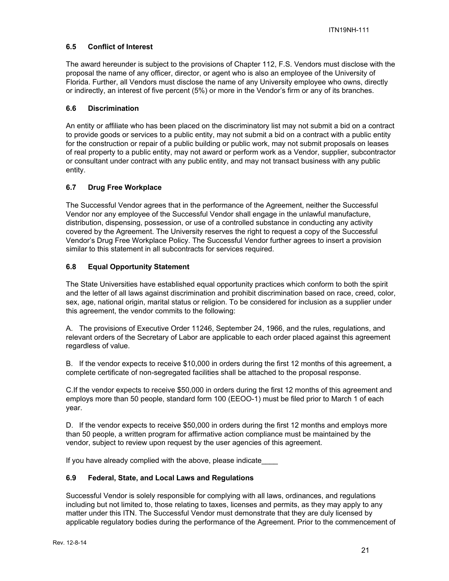# **6.5 Conflict of Interest**

The award hereunder is subject to the provisions of Chapter 112, F.S. Vendors must disclose with the proposal the name of any officer, director, or agent who is also an employee of the University of Florida. Further, all Vendors must disclose the name of any University employee who owns, directly or indirectly, an interest of five percent (5%) or more in the Vendor's firm or any of its branches.

# **6.6 Discrimination**

An entity or affiliate who has been placed on the discriminatory list may not submit a bid on a contract to provide goods or services to a public entity, may not submit a bid on a contract with a public entity for the construction or repair of a public building or public work, may not submit proposals on leases of real property to a public entity, may not award or perform work as a Vendor, supplier, subcontractor or consultant under contract with any public entity, and may not transact business with any public entity.

# **6.7 Drug Free Workplace**

The Successful Vendor agrees that in the performance of the Agreement, neither the Successful Vendor nor any employee of the Successful Vendor shall engage in the unlawful manufacture, distribution, dispensing, possession, or use of a controlled substance in conducting any activity covered by the Agreement. The University reserves the right to request a copy of the Successful Vendor's Drug Free Workplace Policy. The Successful Vendor further agrees to insert a provision similar to this statement in all subcontracts for services required.

# **6.8 Equal Opportunity Statement**

The State Universities have established equal opportunity practices which conform to both the spirit and the letter of all laws against discrimination and prohibit discrimination based on race, creed, color, sex, age, national origin, marital status or religion. To be considered for inclusion as a supplier under this agreement, the vendor commits to the following:

A. The provisions of Executive Order 11246, September 24, 1966, and the rules, regulations, and relevant orders of the Secretary of Labor are applicable to each order placed against this agreement regardless of value.

B. If the vendor expects to receive \$10,000 in orders during the first 12 months of this agreement, a complete certificate of non-segregated facilities shall be attached to the proposal response.

C.If the vendor expects to receive \$50,000 in orders during the first 12 months of this agreement and employs more than 50 people, standard form 100 (EEOO-1) must be filed prior to March 1 of each year.

D. If the vendor expects to receive \$50,000 in orders during the first 12 months and employs more than 50 people, a written program for affirmative action compliance must be maintained by the vendor, subject to review upon request by the user agencies of this agreement.

If you have already complied with the above, please indicate

# **6.9 Federal, State, and Local Laws and Regulations**

Successful Vendor is solely responsible for complying with all laws, ordinances, and regulations including but not limited to, those relating to taxes, licenses and permits, as they may apply to any matter under this ITN. The Successful Vendor must demonstrate that they are duly licensed by applicable regulatory bodies during the performance of the Agreement. Prior to the commencement of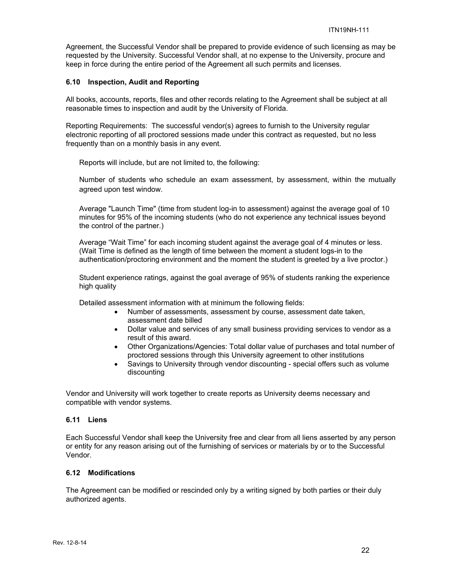Agreement, the Successful Vendor shall be prepared to provide evidence of such licensing as may be requested by the University. Successful Vendor shall, at no expense to the University, procure and keep in force during the entire period of the Agreement all such permits and licenses.

#### **6.10 Inspection, Audit and Reporting**

All books, accounts, reports, files and other records relating to the Agreement shall be subject at all reasonable times to inspection and audit by the University of Florida.

Reporting Requirements: The successful vendor(s) agrees to furnish to the University regular electronic reporting of all proctored sessions made under this contract as requested, but no less frequently than on a monthly basis in any event.

Reports will include, but are not limited to, the following:

Number of students who schedule an exam assessment, by assessment, within the mutually agreed upon test window.

Average "Launch Time" (time from student log-in to assessment) against the average goal of 10 minutes for 95% of the incoming students (who do not experience any technical issues beyond the control of the partner.)

Average "Wait Time" for each incoming student against the average goal of 4 minutes or less. (Wait Time is defined as the length of time between the moment a student logs-in to the authentication/proctoring environment and the moment the student is greeted by a live proctor.)

Student experience ratings, against the goal average of 95% of students ranking the experience high quality

Detailed assessment information with at minimum the following fields:

- Number of assessments, assessment by course, assessment date taken, assessment date billed
- Dollar value and services of any small business providing services to vendor as a result of this award.
- Other Organizations/Agencies: Total dollar value of purchases and total number of proctored sessions through this University agreement to other institutions
- Savings to University through vendor discounting special offers such as volume discounting

Vendor and University will work together to create reports as University deems necessary and compatible with vendor systems.

#### **6.11 Liens**

Each Successful Vendor shall keep the University free and clear from all liens asserted by any person or entity for any reason arising out of the furnishing of services or materials by or to the Successful Vendor.

#### **6.12 Modifications**

The Agreement can be modified or rescinded only by a writing signed by both parties or their duly authorized agents.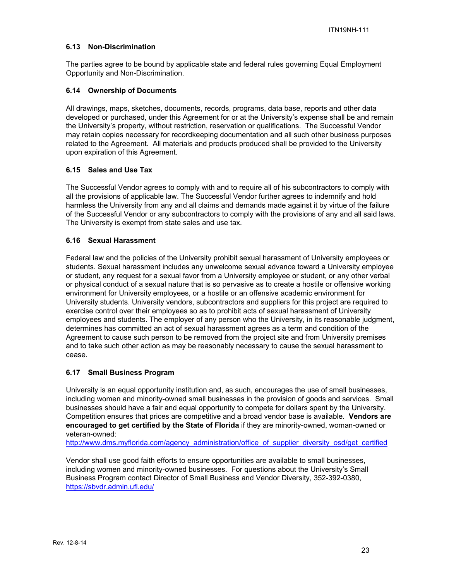#### **6.13 Non-Discrimination**

The parties agree to be bound by applicable state and federal rules governing Equal Employment Opportunity and Non-Discrimination.

#### **6.14 Ownership of Documents**

All drawings, maps, sketches, documents, records, programs, data base, reports and other data developed or purchased, under this Agreement for or at the University's expense shall be and remain the University's property, without restriction, reservation or qualifications. The Successful Vendor may retain copies necessary for recordkeeping documentation and all such other business purposes related to the Agreement. All materials and products produced shall be provided to the University upon expiration of this Agreement.

# **6.15 Sales and Use Tax**

The Successful Vendor agrees to comply with and to require all of his subcontractors to comply with all the provisions of applicable law. The Successful Vendor further agrees to indemnify and hold harmless the University from any and all claims and demands made against it by virtue of the failure of the Successful Vendor or any subcontractors to comply with the provisions of any and all said laws. The University is exempt from state sales and use tax.

# **6.16 Sexual Harassment**

Federal law and the policies of the University prohibit sexual harassment of University employees or students. Sexual harassment includes any unwelcome sexual advance toward a University employee or student, any request for a sexual favor from a University employee or student, or any other verbal or physical conduct of a sexual nature that is so pervasive as to create a hostile or offensive working environment for University employees, or a hostile or an offensive academic environment for University students. University vendors, subcontractors and suppliers for this project are required to exercise control over their employees so as to prohibit acts of sexual harassment of University employees and students. The employer of any person who the University, in its reasonable judgment, determines has committed an act of sexual harassment agrees as a term and condition of the Agreement to cause such person to be removed from the project site and from University premises and to take such other action as may be reasonably necessary to cause the sexual harassment to cease.

#### **6.17 Small Business Program**

University is an equal opportunity institution and, as such, encourages the use of small businesses, including women and minority-owned small businesses in the provision of goods and services. Small businesses should have a fair and equal opportunity to compete for dollars spent by the University. Competition ensures that prices are competitive and a broad vendor base is available. **Vendors are encouraged to get certified by the State of Florida** if they are minority-owned, woman-owned or veteran-owned:

http://www.dms.myflorida.com/agency\_administration/office\_of\_supplier\_diversity\_osd/get\_certified

Vendor shall use good faith efforts to ensure opportunities are available to small businesses, including women and minority-owned businesses. For questions about the University's Small Business Program contact Director of Small Business and Vendor Diversity, 352-392-0380, https://sbvdr.admin.ufl.edu/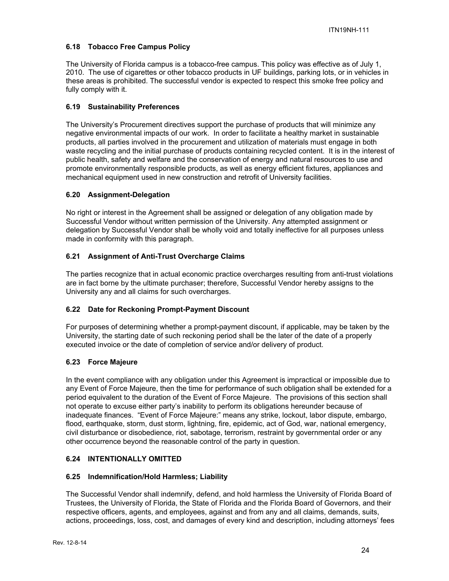# **6.18 Tobacco Free Campus Policy**

The University of Florida campus is a tobacco-free campus. This policy was effective as of July 1, 2010. The use of cigarettes or other tobacco products in UF buildings, parking lots, or in vehicles in these areas is prohibited. The successful vendor is expected to respect this smoke free policy and fully comply with it.

# **6.19 Sustainability Preferences**

The University's Procurement directives support the purchase of products that will minimize any negative environmental impacts of our work. In order to facilitate a healthy market in sustainable products, all parties involved in the procurement and utilization of materials must engage in both waste recycling and the initial purchase of products containing recycled content. It is in the interest of public health, safety and welfare and the conservation of energy and natural resources to use and promote environmentally responsible products, as well as energy efficient fixtures, appliances and mechanical equipment used in new construction and retrofit of University facilities.

# **6.20 Assignment-Delegation**

No right or interest in the Agreement shall be assigned or delegation of any obligation made by Successful Vendor without written permission of the University. Any attempted assignment or delegation by Successful Vendor shall be wholly void and totally ineffective for all purposes unless made in conformity with this paragraph.

# **6.21 Assignment of Anti-Trust Overcharge Claims**

The parties recognize that in actual economic practice overcharges resulting from anti-trust violations are in fact borne by the ultimate purchaser; therefore, Successful Vendor hereby assigns to the University any and all claims for such overcharges.

# **6.22 Date for Reckoning Prompt-Payment Discount**

For purposes of determining whether a prompt-payment discount, if applicable, may be taken by the University, the starting date of such reckoning period shall be the later of the date of a properly executed invoice or the date of completion of service and/or delivery of product.

# **6.23 Force Majeure**

In the event compliance with any obligation under this Agreement is impractical or impossible due to any Event of Force Majeure, then the time for performance of such obligation shall be extended for a period equivalent to the duration of the Event of Force Majeure. The provisions of this section shall not operate to excuse either party's inability to perform its obligations hereunder because of inadequate finances. "Event of Force Majeure:" means any strike, lockout, labor dispute, embargo, flood, earthquake, storm, dust storm, lightning, fire, epidemic, act of God, war, national emergency, civil disturbance or disobedience, riot, sabotage, terrorism, restraint by governmental order or any other occurrence beyond the reasonable control of the party in question.

# **6.24 INTENTIONALLY OMITTED**

# **6.25 Indemnification/Hold Harmless; Liability**

The Successful Vendor shall indemnify, defend, and hold harmless the University of Florida Board of Trustees, the University of Florida, the State of Florida and the Florida Board of Governors, and their respective officers, agents, and employees, against and from any and all claims, demands, suits, actions, proceedings, loss, cost, and damages of every kind and description, including attorneys' fees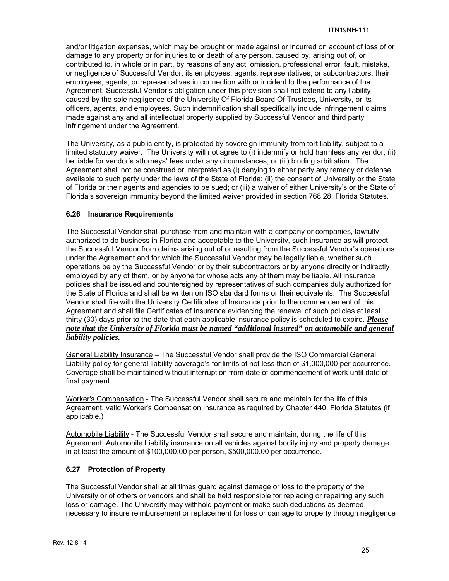and/or litigation expenses, which may be brought or made against or incurred on account of loss of or damage to any property or for injuries to or death of any person, caused by, arising out of, or contributed to, in whole or in part, by reasons of any act, omission, professional error, fault, mistake, or negligence of Successful Vendor, its employees, agents, representatives, or subcontractors, their employees, agents, or representatives in connection with or incident to the performance of the Agreement. Successful Vendor's obligation under this provision shall not extend to any liability caused by the sole negligence of the University Of Florida Board Of Trustees, University, or its officers, agents, and employees. Such indemnification shall specifically include infringement claims made against any and all intellectual property supplied by Successful Vendor and third party infringement under the Agreement.

The University, as a public entity, is protected by sovereign immunity from tort liability, subject to a limited statutory waiver. The University will not agree to (i) indemnify or hold harmless any vendor; (ii) be liable for vendor's attorneys' fees under any circumstances; or (iii) binding arbitration. The Agreement shall not be construed or interpreted as (i) denying to either party any remedy or defense available to such party under the laws of the State of Florida; (ii) the consent of University or the State of Florida or their agents and agencies to be sued; or (iii) a waiver of either University's or the State of Florida's sovereign immunity beyond the limited waiver provided in section 768.28, Florida Statutes.

#### **6.26 Insurance Requirements**

The Successful Vendor shall purchase from and maintain with a company or companies, lawfully authorized to do business in Florida and acceptable to the University, such insurance as will protect the Successful Vendor from claims arising out of or resulting from the Successful Vendor's operations under the Agreement and for which the Successful Vendor may be legally liable, whether such operations be by the Successful Vendor or by their subcontractors or by anyone directly or indirectly employed by any of them, or by anyone for whose acts any of them may be liable. All insurance policies shall be issued and countersigned by representatives of such companies duly authorized for the State of Florida and shall be written on ISO standard forms or their equivalents. The Successful Vendor shall file with the University Certificates of Insurance prior to the commencement of this Agreement and shall file Certificates of Insurance evidencing the renewal of such policies at least thirty (30) days prior to the date that each applicable insurance policy is scheduled to expire. *Please note that the University of Florida must be named "additional insured" on automobile and general liability policies.*

General Liability Insurance – The Successful Vendor shall provide the ISO Commercial General Liability policy for general liability coverage's for limits of not less than of \$1,000,000 per occurrence. Coverage shall be maintained without interruption from date of commencement of work until date of final payment.

Worker's Compensation - The Successful Vendor shall secure and maintain for the life of this Agreement, valid Worker's Compensation Insurance as required by Chapter 440, Florida Statutes (if applicable.)

Automobile Liability - The Successful Vendor shall secure and maintain, during the life of this Agreement, Automobile Liability insurance on all vehicles against bodily injury and property damage in at least the amount of \$100,000.00 per person, \$500,000.00 per occurrence.

#### **6.27 Protection of Property**

The Successful Vendor shall at all times guard against damage or loss to the property of the University or of others or vendors and shall be held responsible for replacing or repairing any such loss or damage. The University may withhold payment or make such deductions as deemed necessary to insure reimbursement or replacement for loss or damage to property through negligence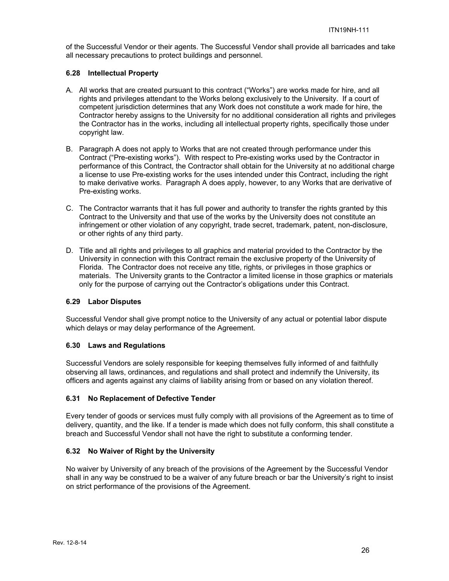of the Successful Vendor or their agents. The Successful Vendor shall provide all barricades and take all necessary precautions to protect buildings and personnel.

# **6.28 Intellectual Property**

- A. All works that are created pursuant to this contract ("Works") are works made for hire, and all rights and privileges attendant to the Works belong exclusively to the University. If a court of competent jurisdiction determines that any Work does not constitute a work made for hire, the Contractor hereby assigns to the University for no additional consideration all rights and privileges the Contractor has in the works, including all intellectual property rights, specifically those under copyright law.
- B. Paragraph A does not apply to Works that are not created through performance under this Contract ("Pre-existing works"). With respect to Pre-existing works used by the Contractor in performance of this Contract, the Contractor shall obtain for the University at no additional charge a license to use Pre-existing works for the uses intended under this Contract, including the right to make derivative works. Paragraph A does apply, however, to any Works that are derivative of Pre-existing works.
- C. The Contractor warrants that it has full power and authority to transfer the rights granted by this Contract to the University and that use of the works by the University does not constitute an infringement or other violation of any copyright, trade secret, trademark, patent, non-disclosure, or other rights of any third party.
- D. Title and all rights and privileges to all graphics and material provided to the Contractor by the University in connection with this Contract remain the exclusive property of the University of Florida. The Contractor does not receive any title, rights, or privileges in those graphics or materials. The University grants to the Contractor a limited license in those graphics or materials only for the purpose of carrying out the Contractor's obligations under this Contract.

# **6.29 Labor Disputes**

Successful Vendor shall give prompt notice to the University of any actual or potential labor dispute which delays or may delay performance of the Agreement.

# **6.30 Laws and Regulations**

Successful Vendors are solely responsible for keeping themselves fully informed of and faithfully observing all laws, ordinances, and regulations and shall protect and indemnify the University, its officers and agents against any claims of liability arising from or based on any violation thereof.

# **6.31 No Replacement of Defective Tender**

Every tender of goods or services must fully comply with all provisions of the Agreement as to time of delivery, quantity, and the like. If a tender is made which does not fully conform, this shall constitute a breach and Successful Vendor shall not have the right to substitute a conforming tender.

# **6.32 No Waiver of Right by the University**

No waiver by University of any breach of the provisions of the Agreement by the Successful Vendor shall in any way be construed to be a waiver of any future breach or bar the University's right to insist on strict performance of the provisions of the Agreement.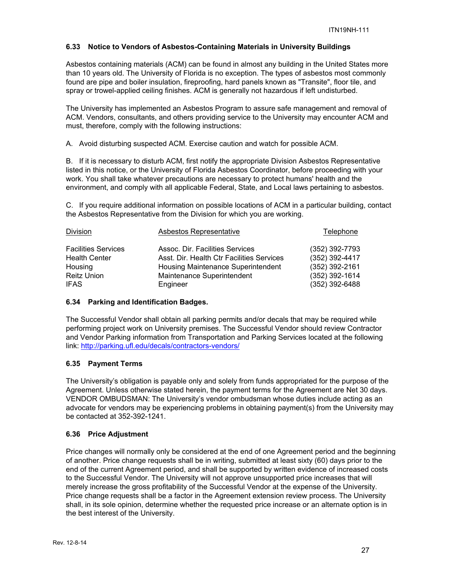# **6.33 Notice to Vendors of Asbestos-Containing Materials in University Buildings**

Asbestos containing materials (ACM) can be found in almost any building in the United States more than 10 years old. The University of Florida is no exception. The types of asbestos most commonly found are pipe and boiler insulation, fireproofing, hard panels known as "Transite", floor tile, and spray or trowel-applied ceiling finishes. ACM is generally not hazardous if left undisturbed.

The University has implemented an Asbestos Program to assure safe management and removal of ACM. Vendors, consultants, and others providing service to the University may encounter ACM and must, therefore, comply with the following instructions:

A. Avoid disturbing suspected ACM. Exercise caution and watch for possible ACM.

B. If it is necessary to disturb ACM, first notify the appropriate Division Asbestos Representative listed in this notice, or the University of Florida Asbestos Coordinator, before proceeding with your work. You shall take whatever precautions are necessary to protect humans' health and the environment, and comply with all applicable Federal, State, and Local laws pertaining to asbestos.

C. If you require additional information on possible locations of ACM in a particular building, contact the Asbestos Representative from the Division for which you are working.

| Division                   | Asbestos Representative                   | Telephone        |
|----------------------------|-------------------------------------------|------------------|
| <b>Facilities Services</b> | Assoc. Dir. Facilities Services           | (352) 392-7793   |
| <b>Health Center</b>       | Asst. Dir. Health Ctr Facilities Services | (352) 392-4417   |
| Housing                    | Housing Maintenance Superintendent        | (352) 392-2161   |
| Reitz Union                | Maintenance Superintendent                | $(352)$ 392-1614 |
| <b>IFAS</b>                | Engineer                                  | $(352)$ 392-6488 |

#### **6.34 Parking and Identification Badges.**

The Successful Vendor shall obtain all parking permits and/or decals that may be required while performing project work on University premises. The Successful Vendor should review Contractor and Vendor Parking information from Transportation and Parking Services located at the following link: http://parking.ufl.edu/decals/contractors-vendors/

# **6.35 Payment Terms**

The University's obligation is payable only and solely from funds appropriated for the purpose of the Agreement. Unless otherwise stated herein, the payment terms for the Agreement are Net 30 days. VENDOR OMBUDSMAN: The University's vendor ombudsman whose duties include acting as an advocate for vendors may be experiencing problems in obtaining payment(s) from the University may be contacted at 352-392-1241.

#### **6.36 Price Adjustment**

Price changes will normally only be considered at the end of one Agreement period and the beginning of another. Price change requests shall be in writing, submitted at least sixty (60) days prior to the end of the current Agreement period, and shall be supported by written evidence of increased costs to the Successful Vendor. The University will not approve unsupported price increases that will merely increase the gross profitability of the Successful Vendor at the expense of the University. Price change requests shall be a factor in the Agreement extension review process. The University shall, in its sole opinion, determine whether the requested price increase or an alternate option is in the best interest of the University.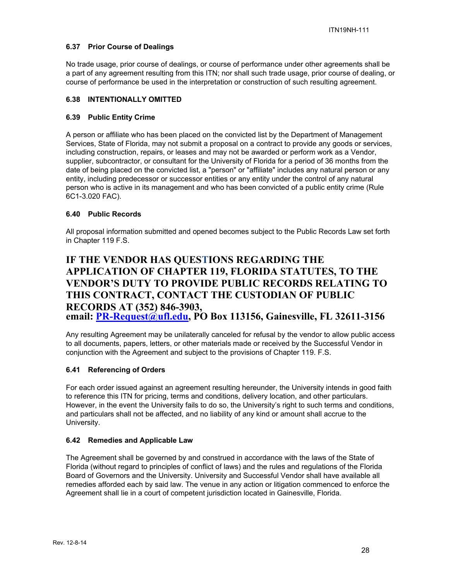# **6.37 Prior Course of Dealings**

No trade usage, prior course of dealings, or course of performance under other agreements shall be a part of any agreement resulting from this ITN; nor shall such trade usage, prior course of dealing, or course of performance be used in the interpretation or construction of such resulting agreement.

#### **6.38 INTENTIONALLY OMITTED**

#### **6.39 Public Entity Crime**

A person or affiliate who has been placed on the convicted list by the Department of Management Services, State of Florida, may not submit a proposal on a contract to provide any goods or services, including construction, repairs, or leases and may not be awarded or perform work as a Vendor, supplier, subcontractor, or consultant for the University of Florida for a period of 36 months from the date of being placed on the convicted list, a "person" or "affiliate" includes any natural person or any entity, including predecessor or successor entities or any entity under the control of any natural person who is active in its management and who has been convicted of a public entity crime (Rule 6C1-3.020 FAC).

# **6.40 Public Records**

All proposal information submitted and opened becomes subject to the Public Records Law set forth in Chapter 119 F.S.

# **IF THE VENDOR HAS QUESTIONS REGARDING THE APPLICATION OF CHAPTER 119, FLORIDA STATUTES, TO THE VENDOR'S DUTY TO PROVIDE PUBLIC RECORDS RELATING TO THIS CONTRACT, CONTACT THE CUSTODIAN OF PUBLIC RECORDS AT (352) 846-3903, email: PR-Request@ufl.edu, PO Box 113156, Gainesville, FL 32611-3156**

Any resulting Agreement may be unilaterally canceled for refusal by the vendor to allow public access to all documents, papers, letters, or other materials made or received by the Successful Vendor in conjunction with the Agreement and subject to the provisions of Chapter 119. F.S.

# **6.41 Referencing of Orders**

For each order issued against an agreement resulting hereunder, the University intends in good faith to reference this ITN for pricing, terms and conditions, delivery location, and other particulars. However, in the event the University fails to do so, the University's right to such terms and conditions, and particulars shall not be affected, and no liability of any kind or amount shall accrue to the University.

#### **6.42 Remedies and Applicable Law**

The Agreement shall be governed by and construed in accordance with the laws of the State of Florida (without regard to principles of conflict of laws) and the rules and regulations of the Florida Board of Governors and the University. University and Successful Vendor shall have available all remedies afforded each by said law. The venue in any action or litigation commenced to enforce the Agreement shall lie in a court of competent jurisdiction located in Gainesville, Florida.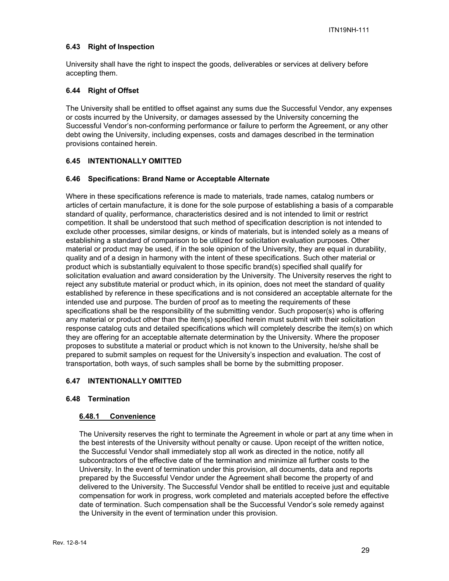# **6.43 Right of Inspection**

University shall have the right to inspect the goods, deliverables or services at delivery before accepting them.

#### **6.44 Right of Offset**

The University shall be entitled to offset against any sums due the Successful Vendor, any expenses or costs incurred by the University, or damages assessed by the University concerning the Successful Vendor's non-conforming performance or failure to perform the Agreement, or any other debt owing the University, including expenses, costs and damages described in the termination provisions contained herein.

# **6.45 INTENTIONALLY OMITTED**

#### **6.46 Specifications: Brand Name or Acceptable Alternate**

Where in these specifications reference is made to materials, trade names, catalog numbers or articles of certain manufacture, it is done for the sole purpose of establishing a basis of a comparable standard of quality, performance, characteristics desired and is not intended to limit or restrict competition. It shall be understood that such method of specification description is not intended to exclude other processes, similar designs, or kinds of materials, but is intended solely as a means of establishing a standard of comparison to be utilized for solicitation evaluation purposes. Other material or product may be used, if in the sole opinion of the University, they are equal in durability, quality and of a design in harmony with the intent of these specifications. Such other material or product which is substantially equivalent to those specific brand(s) specified shall qualify for solicitation evaluation and award consideration by the University. The University reserves the right to reject any substitute material or product which, in its opinion, does not meet the standard of quality established by reference in these specifications and is not considered an acceptable alternate for the intended use and purpose. The burden of proof as to meeting the requirements of these specifications shall be the responsibility of the submitting vendor. Such proposer(s) who is offering any material or product other than the item(s) specified herein must submit with their solicitation response catalog cuts and detailed specifications which will completely describe the item(s) on which they are offering for an acceptable alternate determination by the University. Where the proposer proposes to substitute a material or product which is not known to the University, he/she shall be prepared to submit samples on request for the University's inspection and evaluation. The cost of transportation, both ways, of such samples shall be borne by the submitting proposer.

#### **6.47 INTENTIONALLY OMITTED**

#### **6.48 Termination**

#### **6.48.1 Convenience**

The University reserves the right to terminate the Agreement in whole or part at any time when in the best interests of the University without penalty or cause. Upon receipt of the written notice, the Successful Vendor shall immediately stop all work as directed in the notice, notify all subcontractors of the effective date of the termination and minimize all further costs to the University. In the event of termination under this provision, all documents, data and reports prepared by the Successful Vendor under the Agreement shall become the property of and delivered to the University. The Successful Vendor shall be entitled to receive just and equitable compensation for work in progress, work completed and materials accepted before the effective date of termination. Such compensation shall be the Successful Vendor's sole remedy against the University in the event of termination under this provision.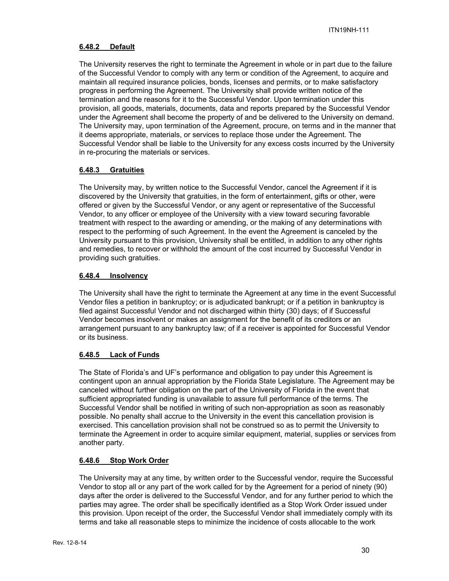# **6.48.2 Default**

The University reserves the right to terminate the Agreement in whole or in part due to the failure of the Successful Vendor to comply with any term or condition of the Agreement, to acquire and maintain all required insurance policies, bonds, licenses and permits, or to make satisfactory progress in performing the Agreement. The University shall provide written notice of the termination and the reasons for it to the Successful Vendor. Upon termination under this provision, all goods, materials, documents, data and reports prepared by the Successful Vendor under the Agreement shall become the property of and be delivered to the University on demand. The University may, upon termination of the Agreement, procure, on terms and in the manner that it deems appropriate, materials, or services to replace those under the Agreement. The Successful Vendor shall be liable to the University for any excess costs incurred by the University in re-procuring the materials or services.

# **6.48.3 Gratuities**

The University may, by written notice to the Successful Vendor, cancel the Agreement if it is discovered by the University that gratuities, in the form of entertainment, gifts or other, were offered or given by the Successful Vendor, or any agent or representative of the Successful Vendor, to any officer or employee of the University with a view toward securing favorable treatment with respect to the awarding or amending, or the making of any determinations with respect to the performing of such Agreement. In the event the Agreement is canceled by the University pursuant to this provision, University shall be entitled, in addition to any other rights and remedies, to recover or withhold the amount of the cost incurred by Successful Vendor in providing such gratuities.

# **6.48.4 Insolvency**

The University shall have the right to terminate the Agreement at any time in the event Successful Vendor files a petition in bankruptcy; or is adjudicated bankrupt; or if a petition in bankruptcy is filed against Successful Vendor and not discharged within thirty (30) days; of if Successful Vendor becomes insolvent or makes an assignment for the benefit of its creditors or an arrangement pursuant to any bankruptcy law; of if a receiver is appointed for Successful Vendor or its business.

# **6.48.5 Lack of Funds**

The State of Florida's and UF's performance and obligation to pay under this Agreement is contingent upon an annual appropriation by the Florida State Legislature. The Agreement may be canceled without further obligation on the part of the University of Florida in the event that sufficient appropriated funding is unavailable to assure full performance of the terms. The Successful Vendor shall be notified in writing of such non-appropriation as soon as reasonably possible. No penalty shall accrue to the University in the event this cancellation provision is exercised. This cancellation provision shall not be construed so as to permit the University to terminate the Agreement in order to acquire similar equipment, material, supplies or services from another party.

#### **6.48.6 Stop Work Order**

The University may at any time, by written order to the Successful vendor, require the Successful Vendor to stop all or any part of the work called for by the Agreement for a period of ninety (90) days after the order is delivered to the Successful Vendor, and for any further period to which the parties may agree. The order shall be specifically identified as a Stop Work Order issued under this provision. Upon receipt of the order, the Successful Vendor shall immediately comply with its terms and take all reasonable steps to minimize the incidence of costs allocable to the work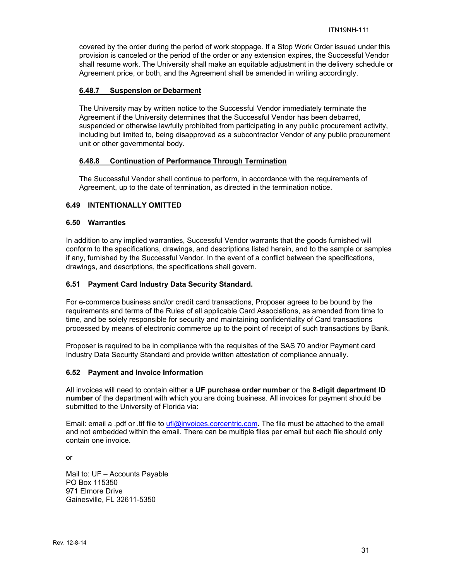covered by the order during the period of work stoppage. If a Stop Work Order issued under this provision is canceled or the period of the order or any extension expires, the Successful Vendor shall resume work. The University shall make an equitable adjustment in the delivery schedule or Agreement price, or both, and the Agreement shall be amended in writing accordingly.

#### **6.48.7 Suspension or Debarment**

The University may by written notice to the Successful Vendor immediately terminate the Agreement if the University determines that the Successful Vendor has been debarred, suspended or otherwise lawfully prohibited from participating in any public procurement activity, including but limited to, being disapproved as a subcontractor Vendor of any public procurement unit or other governmental body.

#### **6.48.8 Continuation of Performance Through Termination**

The Successful Vendor shall continue to perform, in accordance with the requirements of Agreement, up to the date of termination, as directed in the termination notice.

# **6.49 INTENTIONALLY OMITTED**

#### **6.50 Warranties**

In addition to any implied warranties, Successful Vendor warrants that the goods furnished will conform to the specifications, drawings, and descriptions listed herein, and to the sample or samples if any, furnished by the Successful Vendor. In the event of a conflict between the specifications, drawings, and descriptions, the specifications shall govern.

#### **6.51 Payment Card Industry Data Security Standard.**

For e-commerce business and/or credit card transactions, Proposer agrees to be bound by the requirements and terms of the Rules of all applicable Card Associations, as amended from time to time, and be solely responsible for security and maintaining confidentiality of Card transactions processed by means of electronic commerce up to the point of receipt of such transactions by Bank.

Proposer is required to be in compliance with the requisites of the SAS 70 and/or Payment card Industry Data Security Standard and provide written attestation of compliance annually.

#### **6.52 Payment and Invoice Information**

All invoices will need to contain either a **UF purchase order number** or the **8-digit department ID number** of the department with which you are doing business. All invoices for payment should be submitted to the University of Florida via:

Email: email a .pdf or .tif file to ufl@invoices.corcentric.com. The file must be attached to the email and not embedded within the email. There can be multiple files per email but each file should only contain one invoice.

or

Mail to: UF – Accounts Payable PO Box 115350 971 Elmore Drive Gainesville, FL 32611-5350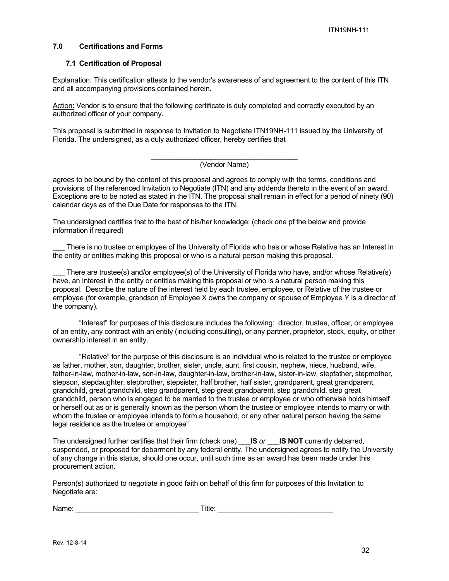#### **7.0 Certifications and Forms**

#### **7.1 Certification of Proposal**

Explanation: This certification attests to the vendor's awareness of and agreement to the content of this ITN and all accompanying provisions contained herein.

Action: Vendor is to ensure that the following certificate is duly completed and correctly executed by an authorized officer of your company.

This proposal is submitted in response to Invitation to Negotiate ITN19NH-111 issued by the University of Florida. The undersigned, as a duly authorized officer, hereby certifies that

#### \_\_\_\_\_\_\_\_\_\_\_\_\_\_\_\_\_\_\_\_\_\_\_\_\_\_\_\_\_\_\_\_\_\_\_\_\_ (Vendor Name)

agrees to be bound by the content of this proposal and agrees to comply with the terms, conditions and provisions of the referenced Invitation to Negotiate (ITN) and any addenda thereto in the event of an award. Exceptions are to be noted as stated in the ITN. The proposal shall remain in effect for a period of ninety (90) calendar days as of the Due Date for responses to the ITN.

The undersigned certifies that to the best of his/her knowledge: (check one pf the below and provide information if required)

There is no trustee or employee of the University of Florida who has or whose Relative has an Interest in the entity or entities making this proposal or who is a natural person making this proposal.

There are trustee(s) and/or employee(s) of the University of Florida who have, and/or whose Relative(s) have, an Interest in the entity or entities making this proposal or who is a natural person making this proposal. Describe the nature of the interest held by each trustee, employee, or Relative of the trustee or employee (for example, grandson of Employee X owns the company or spouse of Employee Y is a director of the company).

"Interest" for purposes of this disclosure includes the following: director, trustee, officer, or employee of an entity, any contract with an entity (including consulting), or any partner, proprietor, stock, equity, or other ownership interest in an entity.

"Relative" for the purpose of this disclosure is an individual who is related to the trustee or employee as father, mother, son, daughter, brother, sister, uncle, aunt, first cousin, nephew, niece, husband, wife, father-in-law, mother-in-law, son-in-law, daughter-in-law, brother-in-law, sister-in-law, stepfather, stepmother, stepson, stepdaughter, stepbrother, stepsister, half brother, half sister, grandparent, great grandparent, grandchild, great grandchild, step grandparent, step great grandparent, step grandchild, step great grandchild, person who is engaged to be married to the trustee or employee or who otherwise holds himself or herself out as or is generally known as the person whom the trustee or employee intends to marry or with whom the trustee or employee intends to form a household, or any other natural person having the same legal residence as the trustee or employee"

The undersigned further certifies that their firm (check one) \_\_\_**IS** *or* \_\_\_**IS NOT** currently debarred, suspended, or proposed for debarment by any federal entity. The undersigned agrees to notify the University of any change in this status, should one occur, until such time as an award has been made under this procurement action.

Person(s) authorized to negotiate in good faith on behalf of this firm for purposes of this Invitation to Negotiate are:

| Name: | . .<br>litle. |  |
|-------|---------------|--|
|       |               |  |